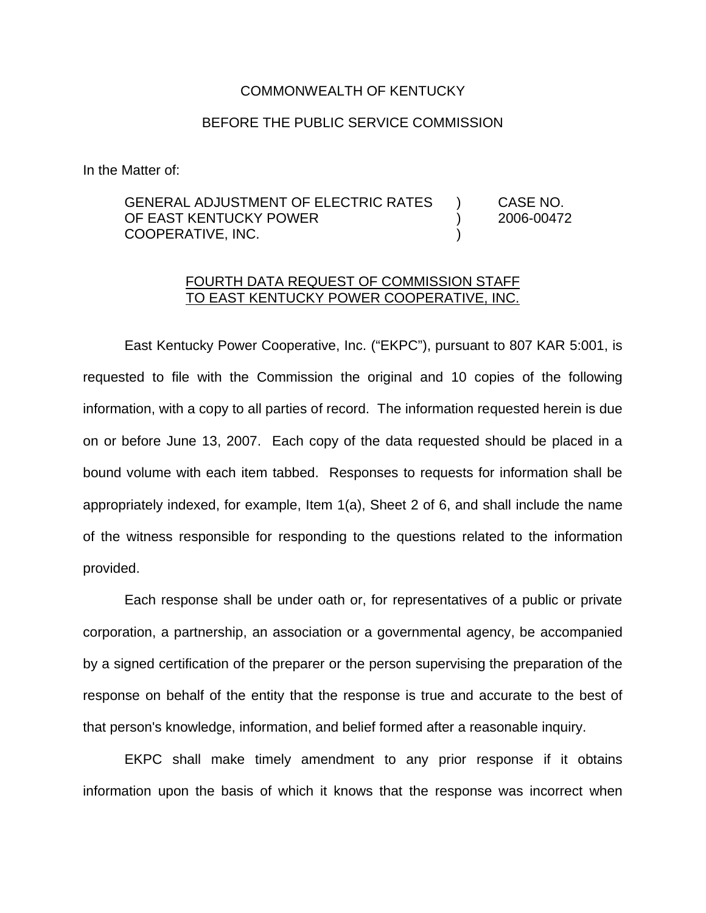## COMMONWEALTH OF KENTUCKY

## BEFORE THE PUBLIC SERVICE COMMISSION

In the Matter of:

GENERAL ADJUSTMENT OF ELECTRIC RATES ) CASE NO. OF EAST KENTUCKY POWER (2006-00472 COOPERATIVE, INC. )

## FOURTH DATA REQUEST OF COMMISSION STAFF TO EAST KENTUCKY POWER COOPERATIVE, INC.

East Kentucky Power Cooperative, Inc. ("EKPC"), pursuant to 807 KAR 5:001, is requested to file with the Commission the original and 10 copies of the following information, with a copy to all parties of record. The information requested herein is due on or before June 13, 2007. Each copy of the data requested should be placed in a bound volume with each item tabbed. Responses to requests for information shall be appropriately indexed, for example, Item 1(a), Sheet 2 of 6, and shall include the name of the witness responsible for responding to the questions related to the information provided.

Each response shall be under oath or, for representatives of a public or private corporation, a partnership, an association or a governmental agency, be accompanied by a signed certification of the preparer or the person supervising the preparation of the response on behalf of the entity that the response is true and accurate to the best of that person's knowledge, information, and belief formed after a reasonable inquiry.

EKPC shall make timely amendment to any prior response if it obtains information upon the basis of which it knows that the response was incorrect when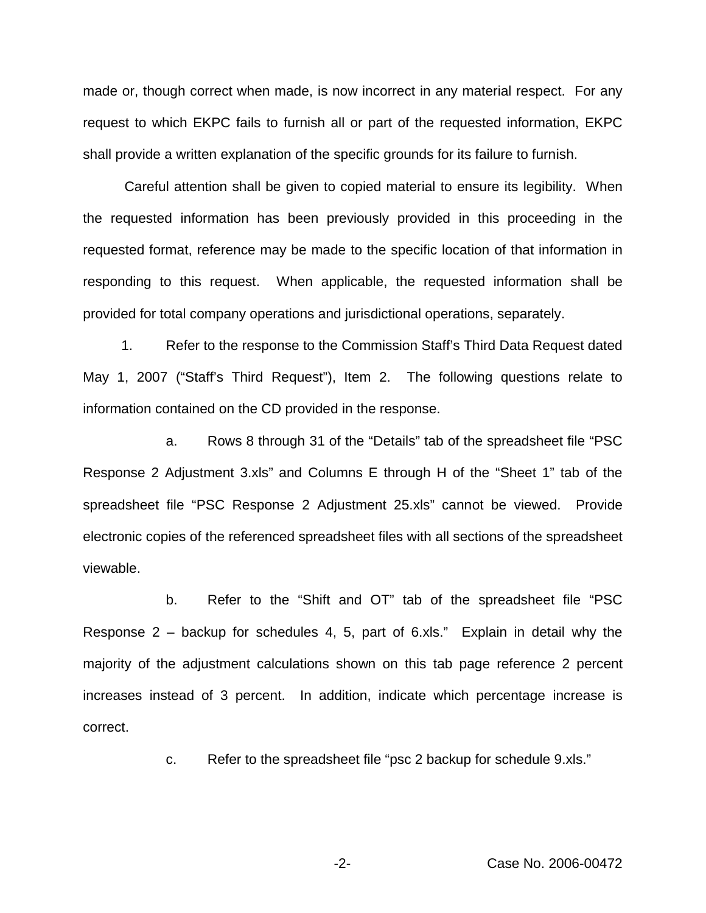made or, though correct when made, is now incorrect in any material respect. For any request to which EKPC fails to furnish all or part of the requested information, EKPC shall provide a written explanation of the specific grounds for its failure to furnish.

Careful attention shall be given to copied material to ensure its legibility. When the requested information has been previously provided in this proceeding in the requested format, reference may be made to the specific location of that information in responding to this request. When applicable, the requested information shall be provided for total company operations and jurisdictional operations, separately.

1. Refer to the response to the Commission Staff's Third Data Request dated May 1, 2007 ("Staff's Third Request"), Item 2. The following questions relate to information contained on the CD provided in the response.

a. Rows 8 through 31 of the "Details" tab of the spreadsheet file "PSC Response 2 Adjustment 3.xls" and Columns E through H of the "Sheet 1" tab of the spreadsheet file "PSC Response 2 Adjustment 25.xls" cannot be viewed. Provide electronic copies of the referenced spreadsheet files with all sections of the spreadsheet viewable.

b. Refer to the "Shift and OT" tab of the spreadsheet file "PSC Response 2 – backup for schedules 4, 5, part of 6.xls." Explain in detail why the majority of the adjustment calculations shown on this tab page reference 2 percent increases instead of 3 percent. In addition, indicate which percentage increase is correct.

c. Refer to the spreadsheet file "psc 2 backup for schedule 9.xls."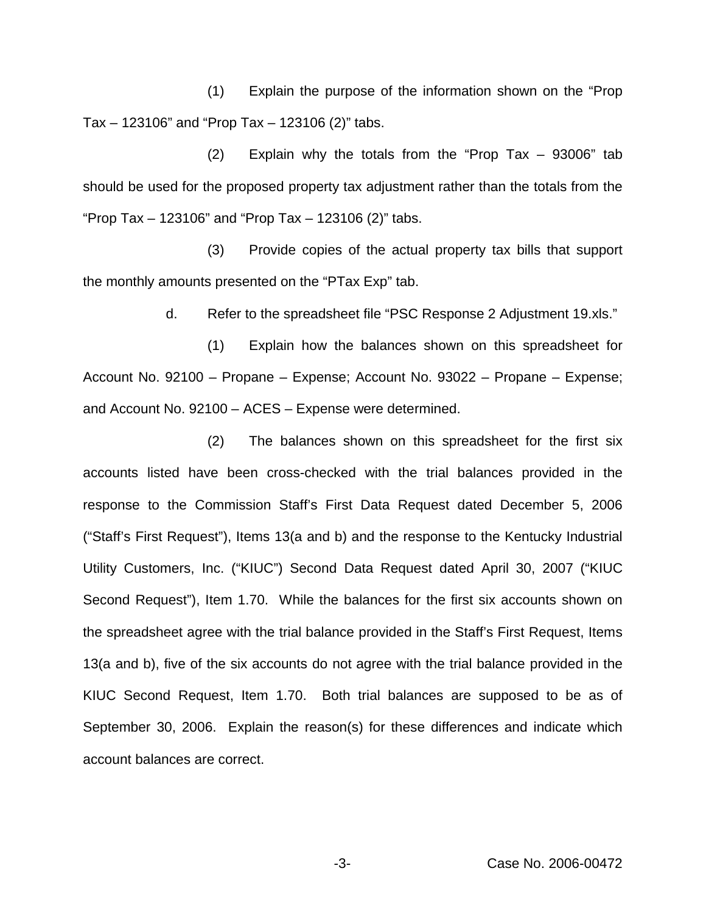(1) Explain the purpose of the information shown on the "Prop  $Tax - 123106"$  and "Prop Tax  $- 123106$  (2)" tabs.

(2) Explain why the totals from the "Prop Tax – 93006" tab should be used for the proposed property tax adjustment rather than the totals from the "Prop Tax – 123106" and "Prop Tax – 123106 (2)" tabs.

(3) Provide copies of the actual property tax bills that support the monthly amounts presented on the "PTax Exp" tab.

d. Refer to the spreadsheet file "PSC Response 2 Adjustment 19.xls."

(1) Explain how the balances shown on this spreadsheet for Account No. 92100 – Propane – Expense; Account No. 93022 – Propane – Expense; and Account No. 92100 – ACES – Expense were determined.

(2) The balances shown on this spreadsheet for the first six accounts listed have been cross-checked with the trial balances provided in the response to the Commission Staff's First Data Request dated December 5, 2006 ("Staff's First Request"), Items 13(a and b) and the response to the Kentucky Industrial Utility Customers, Inc. ("KIUC") Second Data Request dated April 30, 2007 ("KIUC Second Request"), Item 1.70. While the balances for the first six accounts shown on the spreadsheet agree with the trial balance provided in the Staff's First Request, Items 13(a and b), five of the six accounts do not agree with the trial balance provided in the KIUC Second Request, Item 1.70. Both trial balances are supposed to be as of September 30, 2006. Explain the reason(s) for these differences and indicate which account balances are correct.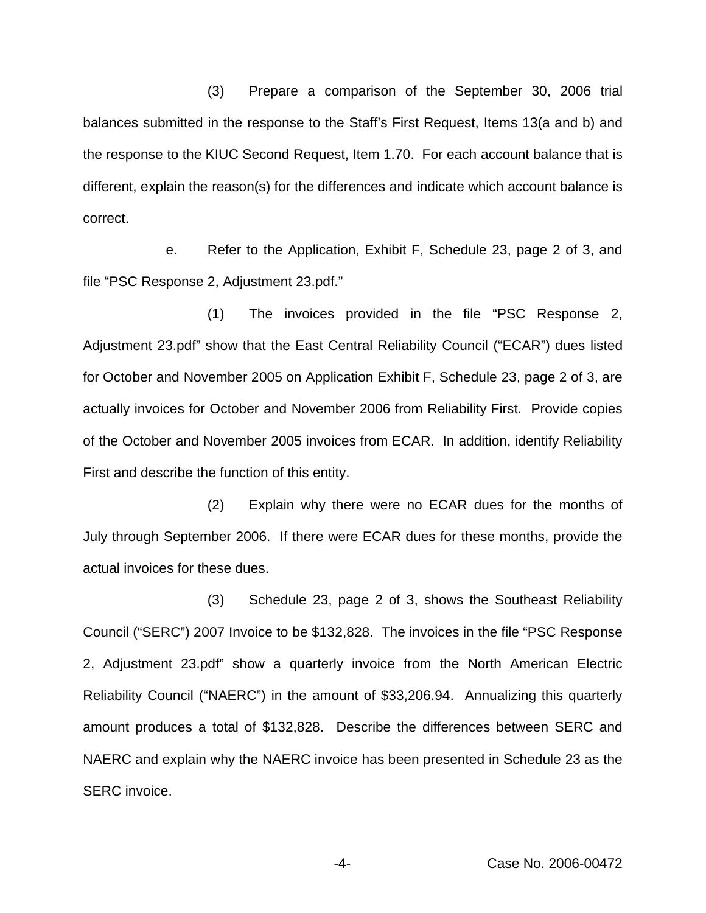(3) Prepare a comparison of the September 30, 2006 trial balances submitted in the response to the Staff's First Request, Items 13(a and b) and the response to the KIUC Second Request, Item 1.70. For each account balance that is different, explain the reason(s) for the differences and indicate which account balance is correct.

e. Refer to the Application, Exhibit F, Schedule 23, page 2 of 3, and file "PSC Response 2, Adjustment 23.pdf."

(1) The invoices provided in the file "PSC Response 2, Adjustment 23.pdf" show that the East Central Reliability Council ("ECAR") dues listed for October and November 2005 on Application Exhibit F, Schedule 23, page 2 of 3, are actually invoices for October and November 2006 from Reliability First. Provide copies of the October and November 2005 invoices from ECAR. In addition, identify Reliability First and describe the function of this entity.

(2) Explain why there were no ECAR dues for the months of July through September 2006. If there were ECAR dues for these months, provide the actual invoices for these dues.

(3) Schedule 23, page 2 of 3, shows the Southeast Reliability Council ("SERC") 2007 Invoice to be \$132,828. The invoices in the file "PSC Response 2, Adjustment 23.pdf" show a quarterly invoice from the North American Electric Reliability Council ("NAERC") in the amount of \$33,206.94. Annualizing this quarterly amount produces a total of \$132,828. Describe the differences between SERC and NAERC and explain why the NAERC invoice has been presented in Schedule 23 as the SERC invoice.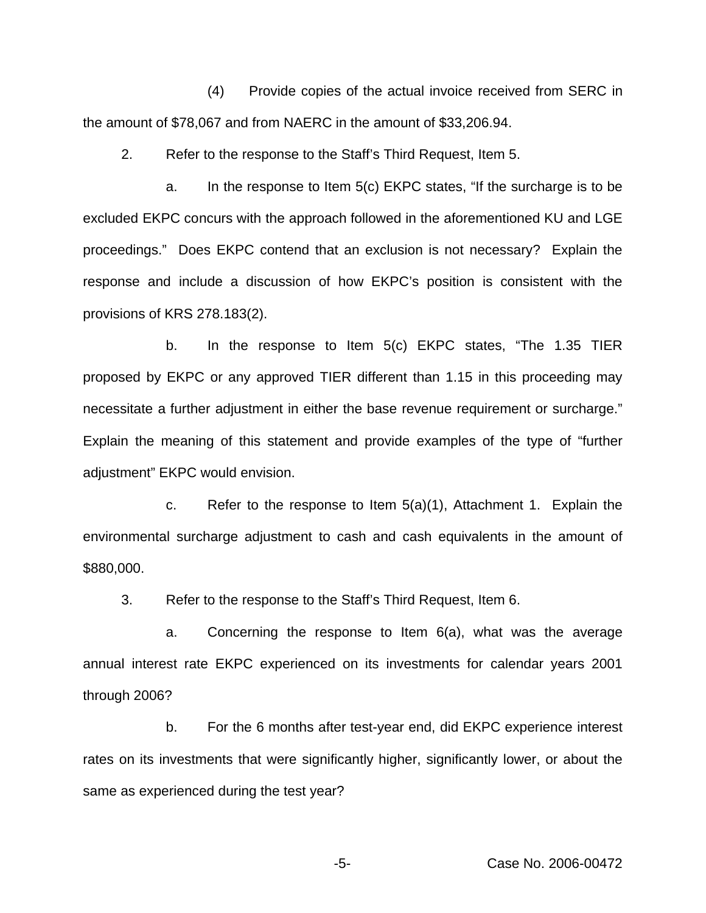(4) Provide copies of the actual invoice received from SERC in the amount of \$78,067 and from NAERC in the amount of \$33,206.94.

2. Refer to the response to the Staff's Third Request, Item 5.

a. In the response to Item 5(c) EKPC states, "If the surcharge is to be excluded EKPC concurs with the approach followed in the aforementioned KU and LGE proceedings." Does EKPC contend that an exclusion is not necessary? Explain the response and include a discussion of how EKPC's position is consistent with the provisions of KRS 278.183(2).

b. In the response to Item 5(c) EKPC states, "The 1.35 TIER proposed by EKPC or any approved TIER different than 1.15 in this proceeding may necessitate a further adjustment in either the base revenue requirement or surcharge." Explain the meaning of this statement and provide examples of the type of "further adjustment" EKPC would envision.

c. Refer to the response to Item 5(a)(1), Attachment 1. Explain the environmental surcharge adjustment to cash and cash equivalents in the amount of \$880,000.

3. Refer to the response to the Staff's Third Request, Item 6.

a. Concerning the response to Item 6(a), what was the average annual interest rate EKPC experienced on its investments for calendar years 2001 through 2006?

b. For the 6 months after test-year end, did EKPC experience interest rates on its investments that were significantly higher, significantly lower, or about the same as experienced during the test year?

-5- Case No. 2006-00472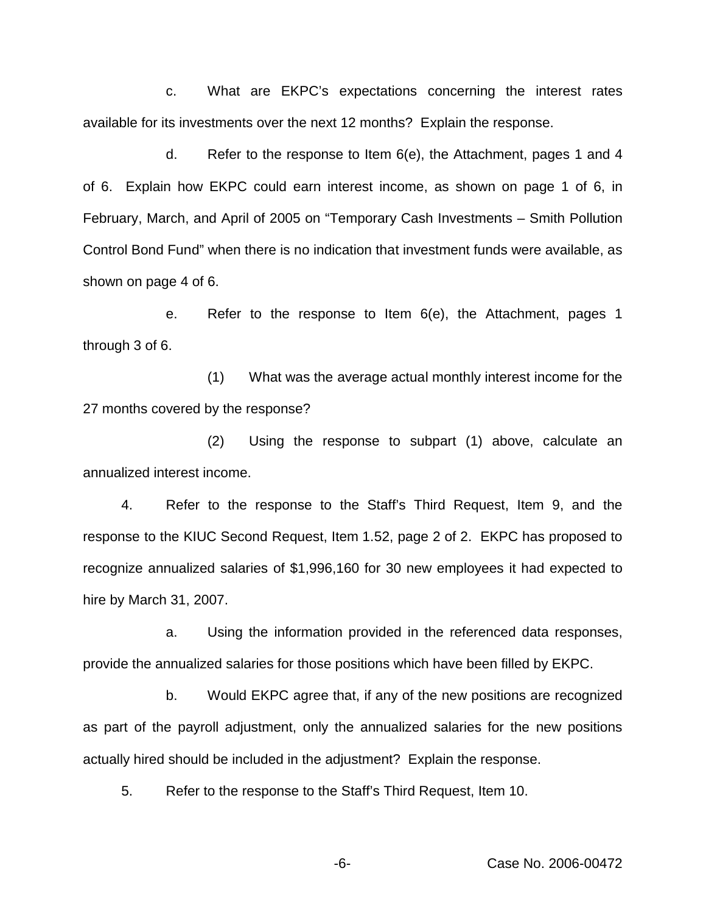c. What are EKPC's expectations concerning the interest rates available for its investments over the next 12 months? Explain the response.

d. Refer to the response to Item 6(e), the Attachment, pages 1 and 4 of 6. Explain how EKPC could earn interest income, as shown on page 1 of 6, in February, March, and April of 2005 on "Temporary Cash Investments – Smith Pollution Control Bond Fund" when there is no indication that investment funds were available, as shown on page 4 of 6.

e. Refer to the response to Item 6(e), the Attachment, pages 1 through 3 of 6.

(1) What was the average actual monthly interest income for the 27 months covered by the response?

(2) Using the response to subpart (1) above, calculate an annualized interest income.

4. Refer to the response to the Staff's Third Request, Item 9, and the response to the KIUC Second Request, Item 1.52, page 2 of 2. EKPC has proposed to recognize annualized salaries of \$1,996,160 for 30 new employees it had expected to hire by March 31, 2007.

a. Using the information provided in the referenced data responses, provide the annualized salaries for those positions which have been filled by EKPC.

b. Would EKPC agree that, if any of the new positions are recognized as part of the payroll adjustment, only the annualized salaries for the new positions actually hired should be included in the adjustment? Explain the response.

5. Refer to the response to the Staff's Third Request, Item 10.

-6- Case No. 2006-00472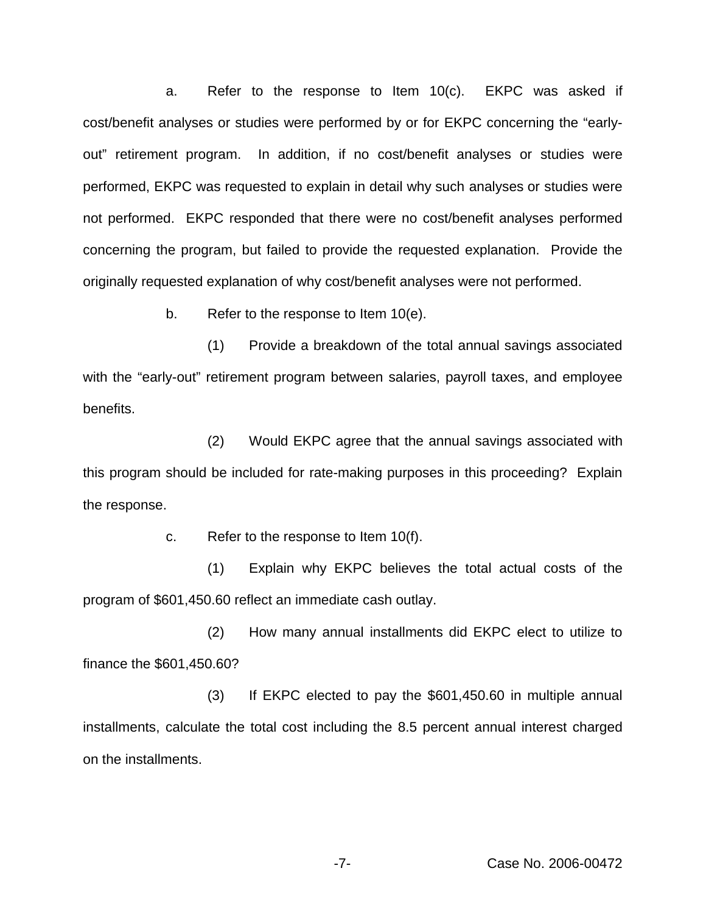a. Refer to the response to Item 10(c). EKPC was asked if cost/benefit analyses or studies were performed by or for EKPC concerning the "earlyout" retirement program. In addition, if no cost/benefit analyses or studies were performed, EKPC was requested to explain in detail why such analyses or studies were not performed. EKPC responded that there were no cost/benefit analyses performed concerning the program, but failed to provide the requested explanation. Provide the originally requested explanation of why cost/benefit analyses were not performed.

b. Refer to the response to Item 10(e).

(1) Provide a breakdown of the total annual savings associated with the "early-out" retirement program between salaries, payroll taxes, and employee benefits.

(2) Would EKPC agree that the annual savings associated with this program should be included for rate-making purposes in this proceeding? Explain the response.

c. Refer to the response to Item 10(f).

(1) Explain why EKPC believes the total actual costs of the program of \$601,450.60 reflect an immediate cash outlay.

(2) How many annual installments did EKPC elect to utilize to finance the \$601,450.60?

(3) If EKPC elected to pay the \$601,450.60 in multiple annual installments, calculate the total cost including the 8.5 percent annual interest charged on the installments.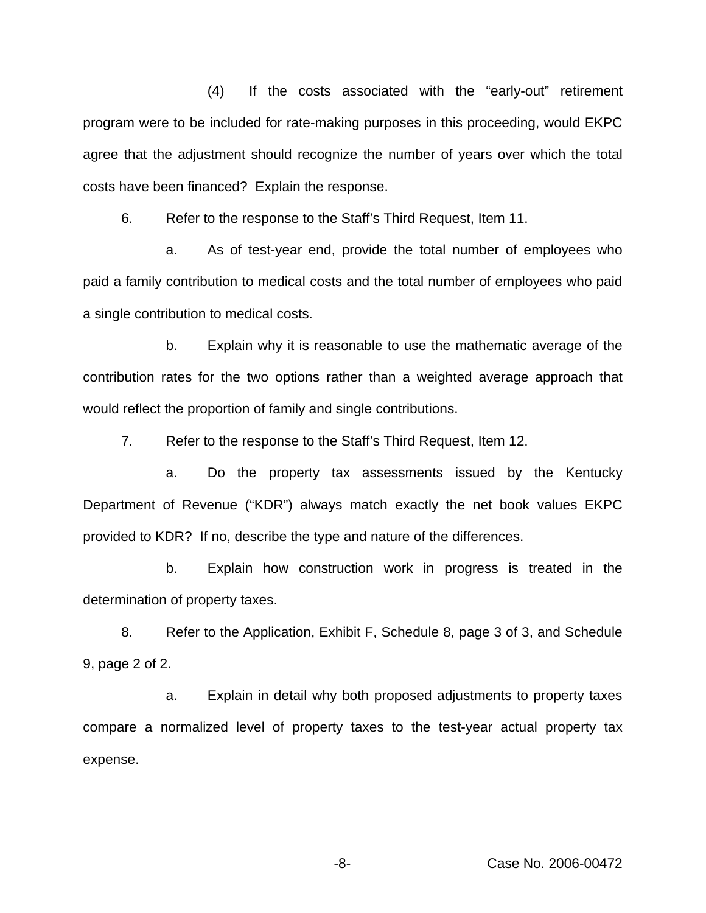(4) If the costs associated with the "early-out" retirement program were to be included for rate-making purposes in this proceeding, would EKPC agree that the adjustment should recognize the number of years over which the total costs have been financed? Explain the response.

6. Refer to the response to the Staff's Third Request, Item 11.

a. As of test-year end, provide the total number of employees who paid a family contribution to medical costs and the total number of employees who paid a single contribution to medical costs.

b. Explain why it is reasonable to use the mathematic average of the contribution rates for the two options rather than a weighted average approach that would reflect the proportion of family and single contributions.

7. Refer to the response to the Staff's Third Request, Item 12.

a. Do the property tax assessments issued by the Kentucky Department of Revenue ("KDR") always match exactly the net book values EKPC provided to KDR? If no, describe the type and nature of the differences.

b. Explain how construction work in progress is treated in the determination of property taxes.

8. Refer to the Application, Exhibit F, Schedule 8, page 3 of 3, and Schedule 9, page 2 of 2.

a. Explain in detail why both proposed adjustments to property taxes compare a normalized level of property taxes to the test-year actual property tax expense.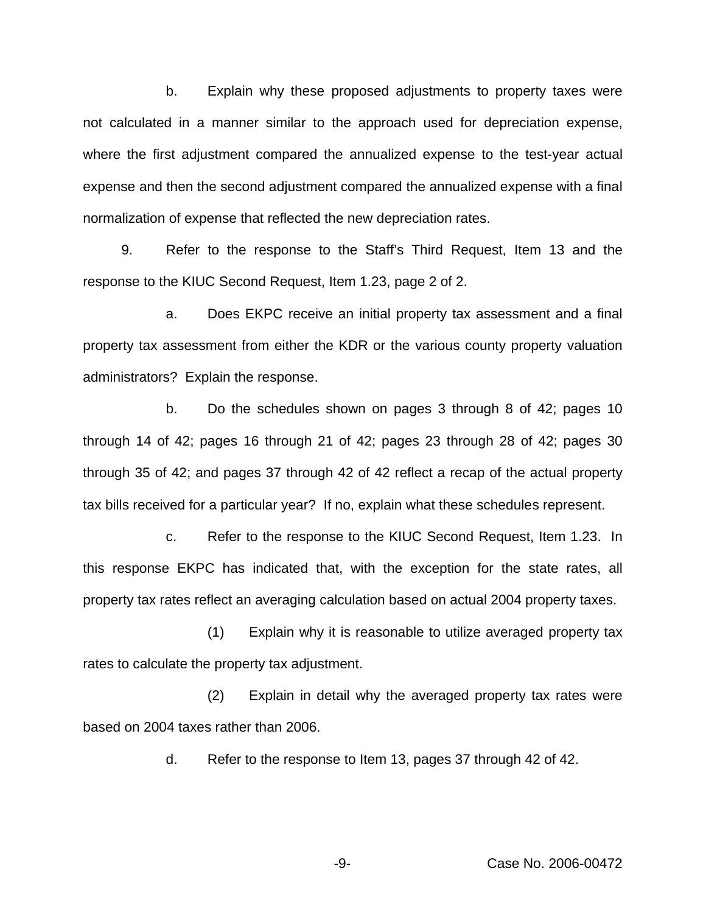b. Explain why these proposed adjustments to property taxes were not calculated in a manner similar to the approach used for depreciation expense, where the first adjustment compared the annualized expense to the test-year actual expense and then the second adjustment compared the annualized expense with a final normalization of expense that reflected the new depreciation rates.

9. Refer to the response to the Staff's Third Request, Item 13 and the response to the KIUC Second Request, Item 1.23, page 2 of 2.

a. Does EKPC receive an initial property tax assessment and a final property tax assessment from either the KDR or the various county property valuation administrators? Explain the response.

b. Do the schedules shown on pages 3 through 8 of 42; pages 10 through 14 of 42; pages 16 through 21 of 42; pages 23 through 28 of 42; pages 30 through 35 of 42; and pages 37 through 42 of 42 reflect a recap of the actual property tax bills received for a particular year? If no, explain what these schedules represent.

c. Refer to the response to the KIUC Second Request, Item 1.23. In this response EKPC has indicated that, with the exception for the state rates, all property tax rates reflect an averaging calculation based on actual 2004 property taxes.

(1) Explain why it is reasonable to utilize averaged property tax rates to calculate the property tax adjustment.

(2) Explain in detail why the averaged property tax rates were based on 2004 taxes rather than 2006.

d. Refer to the response to Item 13, pages 37 through 42 of 42.

-9- Case No. 2006-00472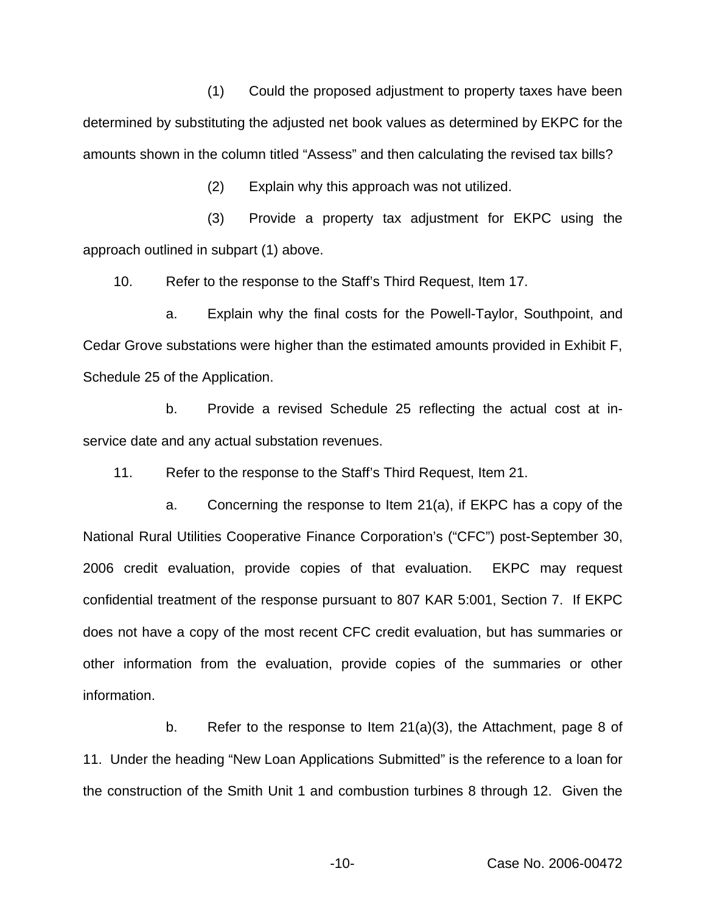(1) Could the proposed adjustment to property taxes have been determined by substituting the adjusted net book values as determined by EKPC for the amounts shown in the column titled "Assess" and then calculating the revised tax bills?

(2) Explain why this approach was not utilized.

(3) Provide a property tax adjustment for EKPC using the approach outlined in subpart (1) above.

10. Refer to the response to the Staff's Third Request, Item 17.

a. Explain why the final costs for the Powell-Taylor, Southpoint, and Cedar Grove substations were higher than the estimated amounts provided in Exhibit F, Schedule 25 of the Application.

b. Provide a revised Schedule 25 reflecting the actual cost at inservice date and any actual substation revenues.

11. Refer to the response to the Staff's Third Request, Item 21.

a. Concerning the response to Item 21(a), if EKPC has a copy of the National Rural Utilities Cooperative Finance Corporation's ("CFC") post-September 30, 2006 credit evaluation, provide copies of that evaluation. EKPC may request confidential treatment of the response pursuant to 807 KAR 5:001, Section 7. If EKPC does not have a copy of the most recent CFC credit evaluation, but has summaries or other information from the evaluation, provide copies of the summaries or other information.

b. Refer to the response to Item 21(a)(3), the Attachment, page 8 of 11. Under the heading "New Loan Applications Submitted" is the reference to a loan for the construction of the Smith Unit 1 and combustion turbines 8 through 12. Given the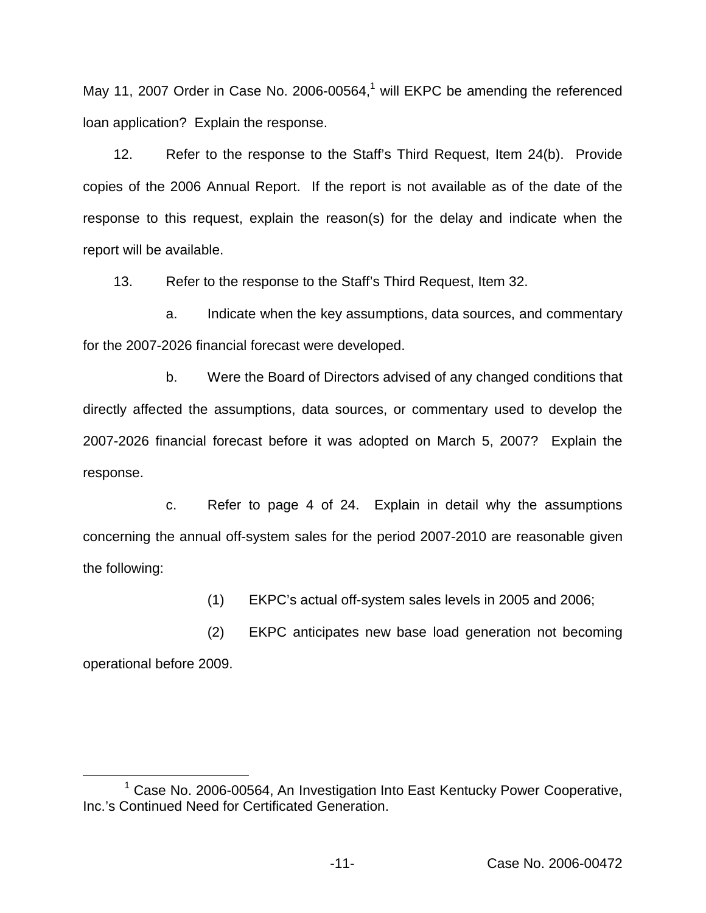May 11, 2007 Order in Case No. 2006-00564, $<sup>1</sup>$  will EKPC be amending the referenced</sup> loan application? Explain the response.

12. Refer to the response to the Staff's Third Request, Item 24(b). Provide copies of the 2006 Annual Report. If the report is not available as of the date of the response to this request, explain the reason(s) for the delay and indicate when the report will be available.

13. Refer to the response to the Staff's Third Request, Item 32.

a. Indicate when the key assumptions, data sources, and commentary for the 2007-2026 financial forecast were developed.

b. Were the Board of Directors advised of any changed conditions that directly affected the assumptions, data sources, or commentary used to develop the 2007-2026 financial forecast before it was adopted on March 5, 2007? Explain the response.

c. Refer to page 4 of 24. Explain in detail why the assumptions concerning the annual off-system sales for the period 2007-2010 are reasonable given the following:

(1) EKPC's actual off-system sales levels in 2005 and 2006;

(2) EKPC anticipates new base load generation not becoming operational before 2009.

<sup>&</sup>lt;sup>1</sup> Case No. 2006-00564, An Investigation Into East Kentucky Power Cooperative, Inc.'s Continued Need for Certificated Generation.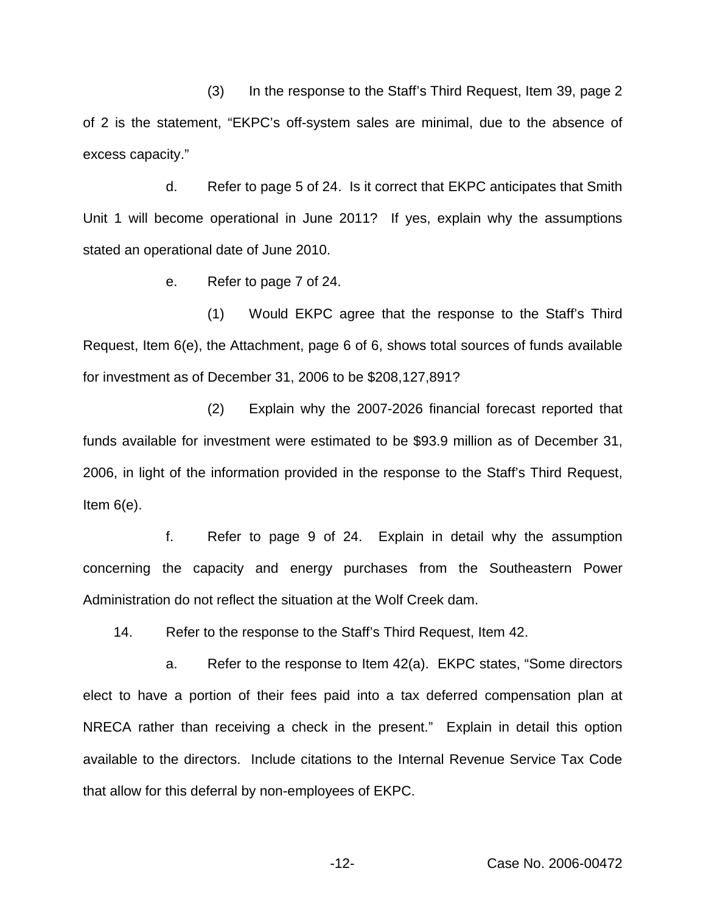(3) In the response to the Staff's Third Request, Item 39, page 2 of 2 is the statement, "EKPC's off-system sales are minimal, due to the absence of excess capacity."

d. Refer to page 5 of 24. Is it correct that EKPC anticipates that Smith Unit 1 will become operational in June 2011? If yes, explain why the assumptions stated an operational date of June 2010.

e. Refer to page 7 of 24.

(1) Would EKPC agree that the response to the Staff's Third Request, Item 6(e), the Attachment, page 6 of 6, shows total sources of funds available for investment as of December 31, 2006 to be \$208,127,891?

(2) Explain why the 2007-2026 financial forecast reported that funds available for investment were estimated to be \$93.9 million as of December 31, 2006, in light of the information provided in the response to the Staff's Third Request, Item 6(e).

f. Refer to page 9 of 24. Explain in detail why the assumption concerning the capacity and energy purchases from the Southeastern Power Administration do not reflect the situation at the Wolf Creek dam.

14. Refer to the response to the Staff's Third Request, Item 42.

a. Refer to the response to Item 42(a). EKPC states, "Some directors elect to have a portion of their fees paid into a tax deferred compensation plan at NRECA rather than receiving a check in the present." Explain in detail this option available to the directors. Include citations to the Internal Revenue Service Tax Code that allow for this deferral by non-employees of EKPC.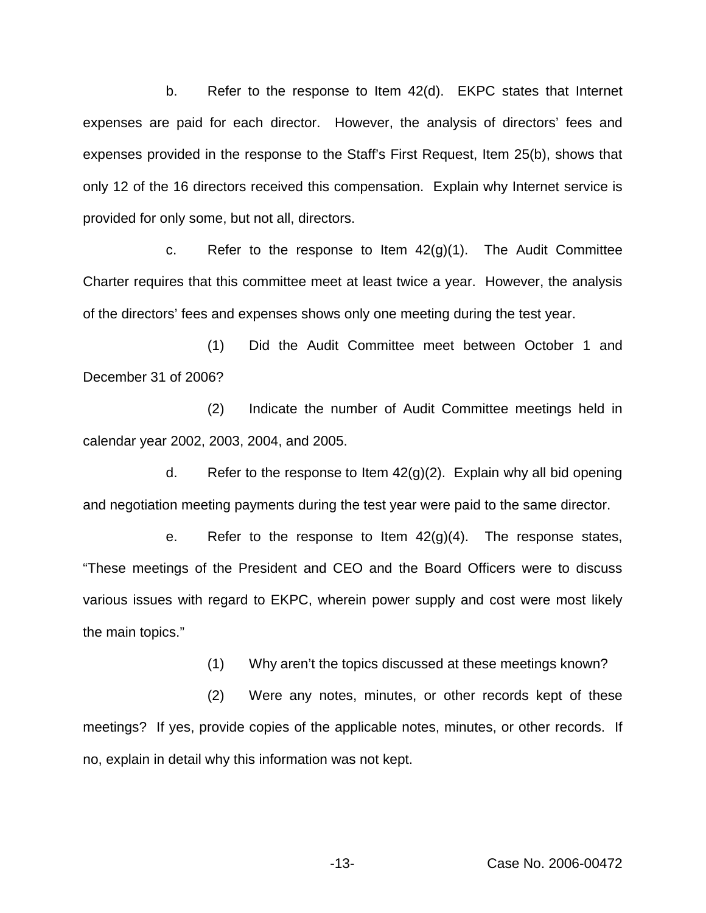b. Refer to the response to Item 42(d). EKPC states that Internet expenses are paid for each director. However, the analysis of directors' fees and expenses provided in the response to the Staff's First Request, Item 25(b), shows that only 12 of the 16 directors received this compensation. Explain why Internet service is provided for only some, but not all, directors.

c. Refer to the response to Item  $42(g)(1)$ . The Audit Committee Charter requires that this committee meet at least twice a year. However, the analysis of the directors' fees and expenses shows only one meeting during the test year.

(1) Did the Audit Committee meet between October 1 and December 31 of 2006?

(2) Indicate the number of Audit Committee meetings held in calendar year 2002, 2003, 2004, and 2005.

d. Refer to the response to Item  $42<sub>(g)(2)</sub>$ . Explain why all bid opening and negotiation meeting payments during the test year were paid to the same director.

e. Refer to the response to Item  $42(g)(4)$ . The response states, "These meetings of the President and CEO and the Board Officers were to discuss various issues with regard to EKPC, wherein power supply and cost were most likely the main topics."

(1) Why aren't the topics discussed at these meetings known?

(2) Were any notes, minutes, or other records kept of these meetings? If yes, provide copies of the applicable notes, minutes, or other records. If no, explain in detail why this information was not kept.

-13- Case No. 2006-00472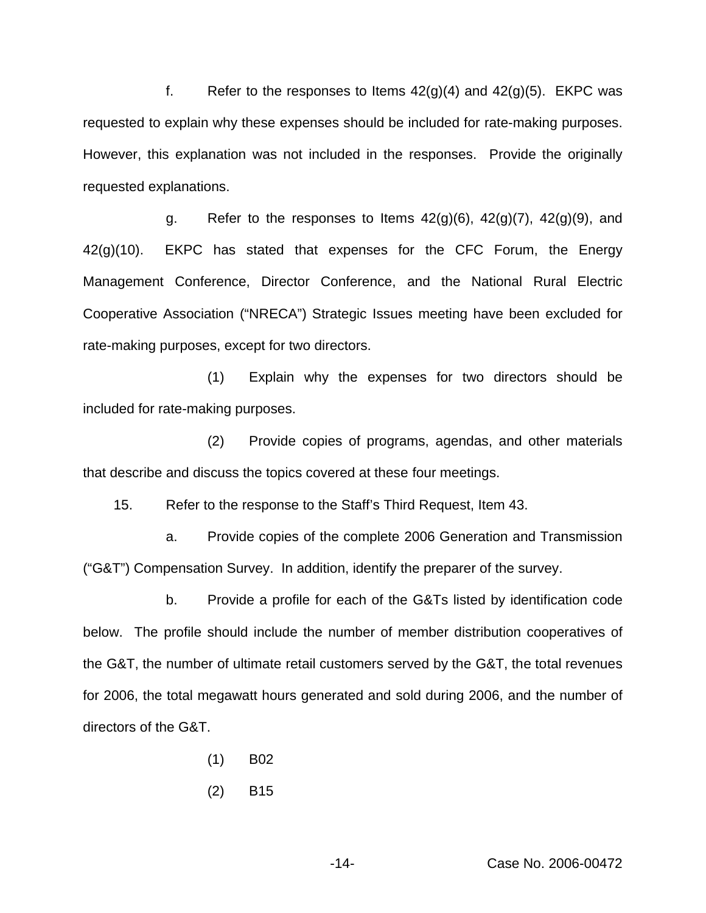f. Refer to the responses to Items  $42(g)(4)$  and  $42(g)(5)$ . EKPC was requested to explain why these expenses should be included for rate-making purposes. However, this explanation was not included in the responses. Provide the originally requested explanations.

g. Refer to the responses to Items  $42(g)(6)$ ,  $42(g)(7)$ ,  $42(g)(9)$ , and 42(g)(10). EKPC has stated that expenses for the CFC Forum, the Energy Management Conference, Director Conference, and the National Rural Electric Cooperative Association ("NRECA") Strategic Issues meeting have been excluded for rate-making purposes, except for two directors.

(1) Explain why the expenses for two directors should be included for rate-making purposes.

(2) Provide copies of programs, agendas, and other materials that describe and discuss the topics covered at these four meetings.

15. Refer to the response to the Staff's Third Request, Item 43.

a. Provide copies of the complete 2006 Generation and Transmission ("G&T") Compensation Survey. In addition, identify the preparer of the survey.

b. Provide a profile for each of the G&Ts listed by identification code below. The profile should include the number of member distribution cooperatives of the G&T, the number of ultimate retail customers served by the G&T, the total revenues for 2006, the total megawatt hours generated and sold during 2006, and the number of directors of the G&T.

- (1) B02
- (2) B15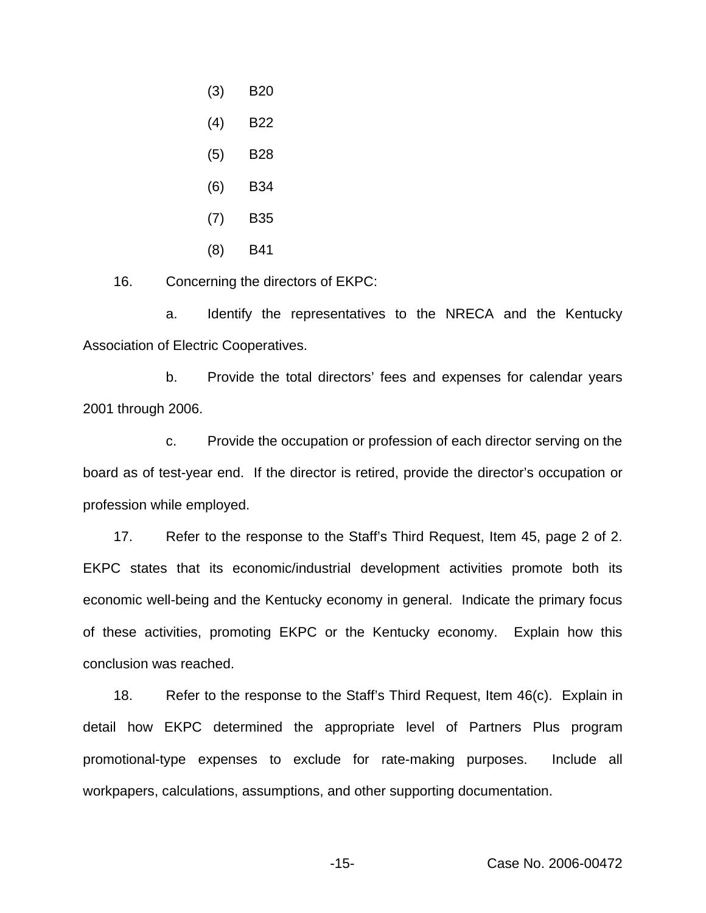- (3) B20
- (4) B22
- (5) B28
- (6) B34
- (7) B35
- (8) B41

16. Concerning the directors of EKPC:

a. Identify the representatives to the NRECA and the Kentucky Association of Electric Cooperatives.

b. Provide the total directors' fees and expenses for calendar years 2001 through 2006.

c. Provide the occupation or profession of each director serving on the board as of test-year end. If the director is retired, provide the director's occupation or profession while employed.

17. Refer to the response to the Staff's Third Request, Item 45, page 2 of 2. EKPC states that its economic/industrial development activities promote both its economic well-being and the Kentucky economy in general. Indicate the primary focus of these activities, promoting EKPC or the Kentucky economy. Explain how this conclusion was reached.

18. Refer to the response to the Staff's Third Request, Item 46(c). Explain in detail how EKPC determined the appropriate level of Partners Plus program promotional-type expenses to exclude for rate-making purposes. Include all workpapers, calculations, assumptions, and other supporting documentation.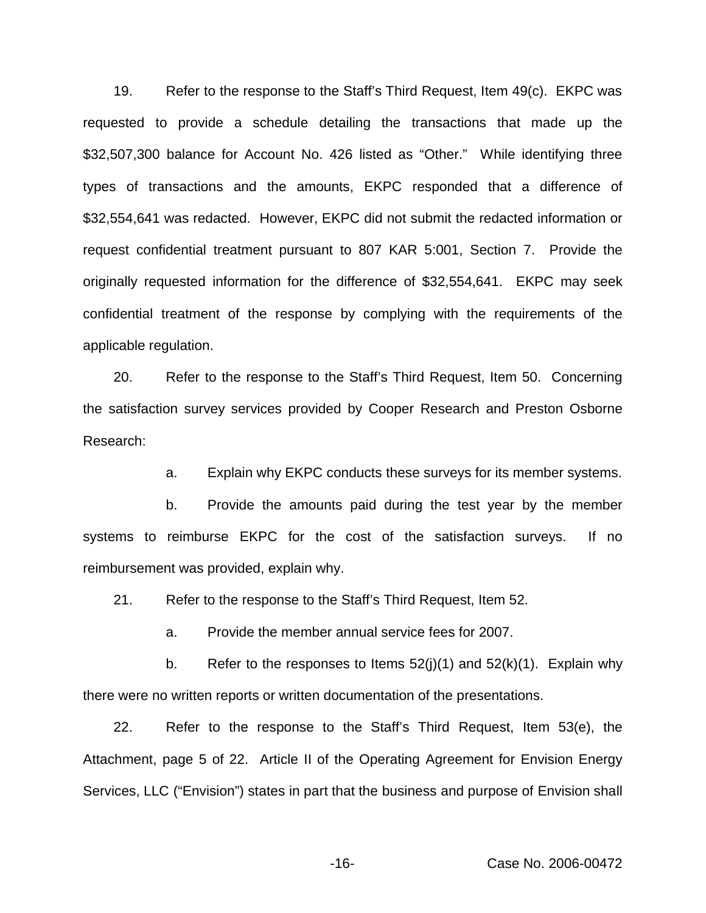19. Refer to the response to the Staff's Third Request, Item 49(c). EKPC was requested to provide a schedule detailing the transactions that made up the \$32,507,300 balance for Account No. 426 listed as "Other." While identifying three types of transactions and the amounts, EKPC responded that a difference of \$32,554,641 was redacted. However, EKPC did not submit the redacted information or request confidential treatment pursuant to 807 KAR 5:001, Section 7. Provide the originally requested information for the difference of \$32,554,641. EKPC may seek confidential treatment of the response by complying with the requirements of the applicable regulation.

20. Refer to the response to the Staff's Third Request, Item 50. Concerning the satisfaction survey services provided by Cooper Research and Preston Osborne Research:

a. Explain why EKPC conducts these surveys for its member systems.

b. Provide the amounts paid during the test year by the member systems to reimburse EKPC for the cost of the satisfaction surveys. If no reimbursement was provided, explain why.

21. Refer to the response to the Staff's Third Request, Item 52.

a. Provide the member annual service fees for 2007.

b. Refer to the responses to Items  $52(i)(1)$  and  $52(k)(1)$ . Explain why there were no written reports or written documentation of the presentations.

22. Refer to the response to the Staff's Third Request, Item 53(e), the Attachment, page 5 of 22. Article II of the Operating Agreement for Envision Energy Services, LLC ("Envision") states in part that the business and purpose of Envision shall